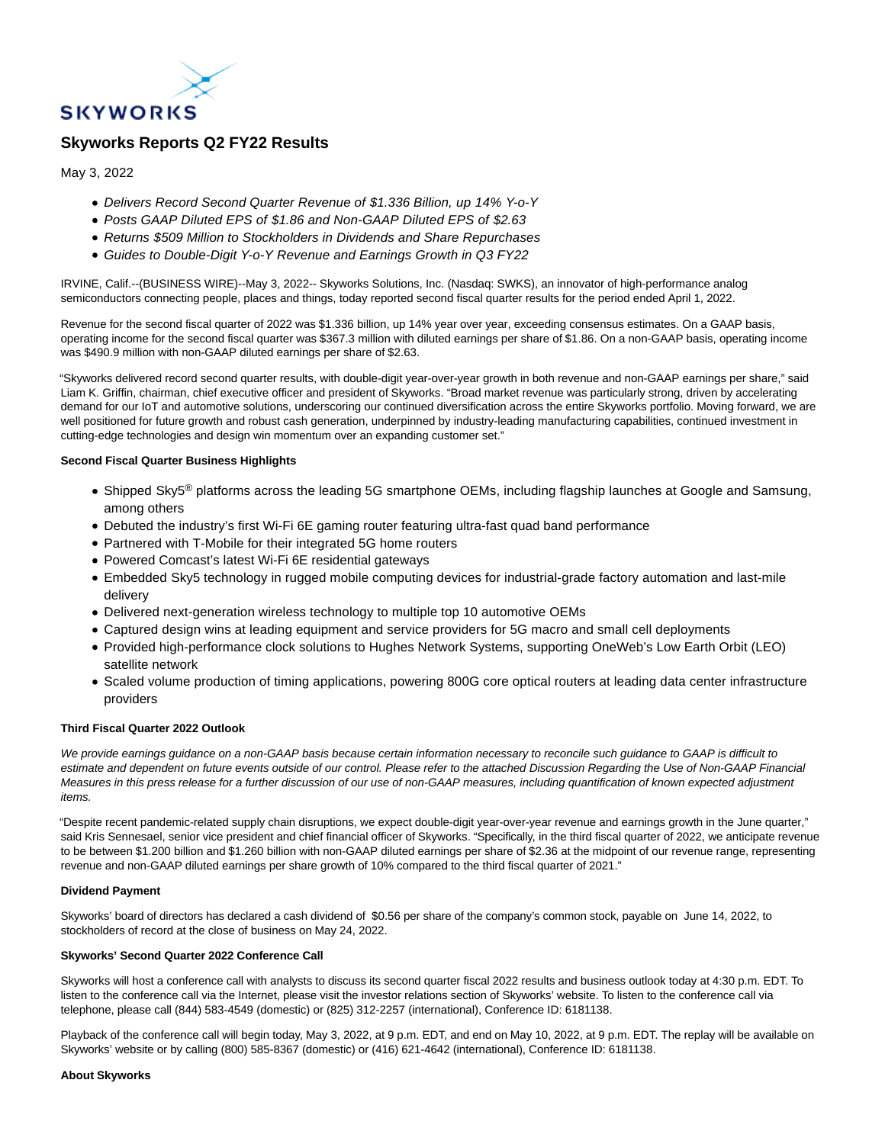

# **Skyworks Reports Q2 FY22 Results**

May 3, 2022

- Delivers Record Second Quarter Revenue of \$1.336 Billion, up 14% Y-o-Y
- Posts GAAP Diluted EPS of \$1.86 and Non-GAAP Diluted EPS of \$2.63
- Returns \$509 Million to Stockholders in Dividends and Share Repurchases
- Guides to Double-Digit Y-o-Y Revenue and Earnings Growth in Q3 FY22

IRVINE, Calif.--(BUSINESS WIRE)--May 3, 2022-- Skyworks Solutions, Inc. (Nasdaq: SWKS), an innovator of high-performance analog semiconductors connecting people, places and things, today reported second fiscal quarter results for the period ended April 1, 2022.

Revenue for the second fiscal quarter of 2022 was \$1.336 billion, up 14% year over year, exceeding consensus estimates. On a GAAP basis, operating income for the second fiscal quarter was \$367.3 million with diluted earnings per share of \$1.86. On a non-GAAP basis, operating income was \$490.9 million with non-GAAP diluted earnings per share of \$2.63.

"Skyworks delivered record second quarter results, with double-digit year-over-year growth in both revenue and non-GAAP earnings per share," said Liam K. Griffin, chairman, chief executive officer and president of Skyworks. "Broad market revenue was particularly strong, driven by accelerating demand for our IoT and automotive solutions, underscoring our continued diversification across the entire Skyworks portfolio. Moving forward, we are well positioned for future growth and robust cash generation, underpinned by industry-leading manufacturing capabilities, continued investment in cutting-edge technologies and design win momentum over an expanding customer set."

#### **Second Fiscal Quarter Business Highlights**

- Shipped Sky5<sup>®</sup> platforms across the leading 5G smartphone OEMs, including flagship launches at Google and Samsung, among others
- Debuted the industry's first Wi-Fi 6E gaming router featuring ultra-fast quad band performance
- Partnered with T-Mobile for their integrated 5G home routers
- Powered Comcast's latest Wi-Fi 6E residential gateways
- Embedded Sky5 technology in rugged mobile computing devices for industrial-grade factory automation and last-mile delivery
- Delivered next-generation wireless technology to multiple top 10 automotive OEMs
- Captured design wins at leading equipment and service providers for 5G macro and small cell deployments
- Provided high-performance clock solutions to Hughes Network Systems, supporting OneWeb's Low Earth Orbit (LEO) satellite network
- Scaled volume production of timing applications, powering 800G core optical routers at leading data center infrastructure providers

#### **Third Fiscal Quarter 2022 Outlook**

We provide earnings guidance on a non-GAAP basis because certain information necessary to reconcile such guidance to GAAP is difficult to estimate and dependent on future events outside of our control. Please refer to the attached Discussion Regarding the Use of Non-GAAP Financial Measures in this press release for a further discussion of our use of non-GAAP measures, including quantification of known expected adjustment items.

"Despite recent pandemic-related supply chain disruptions, we expect double-digit year-over-year revenue and earnings growth in the June quarter," said Kris Sennesael, senior vice president and chief financial officer of Skyworks. "Specifically, in the third fiscal quarter of 2022, we anticipate revenue to be between \$1.200 billion and \$1.260 billion with non-GAAP diluted earnings per share of \$2.36 at the midpoint of our revenue range, representing revenue and non-GAAP diluted earnings per share growth of 10% compared to the third fiscal quarter of 2021."

#### **Dividend Payment**

Skyworks' board of directors has declared a cash dividend of \$0.56 per share of the company's common stock, payable on June 14, 2022, to stockholders of record at the close of business on May 24, 2022.

#### **Skyworks' Second Quarter 2022 Conference Call**

Skyworks will host a conference call with analysts to discuss its second quarter fiscal 2022 results and business outlook today at 4:30 p.m. EDT. To listen to the conference call via the Internet, please visit the investor relations section of Skyworks' website. To listen to the conference call via telephone, please call (844) 583-4549 (domestic) or (825) 312-2257 (international), Conference ID: 6181138.

Playback of the conference call will begin today, May 3, 2022, at 9 p.m. EDT, and end on May 10, 2022, at 9 p.m. EDT. The replay will be available on Skyworks' website or by calling (800) 585-8367 (domestic) or (416) 621-4642 (international), Conference ID: 6181138.

#### **About Skyworks**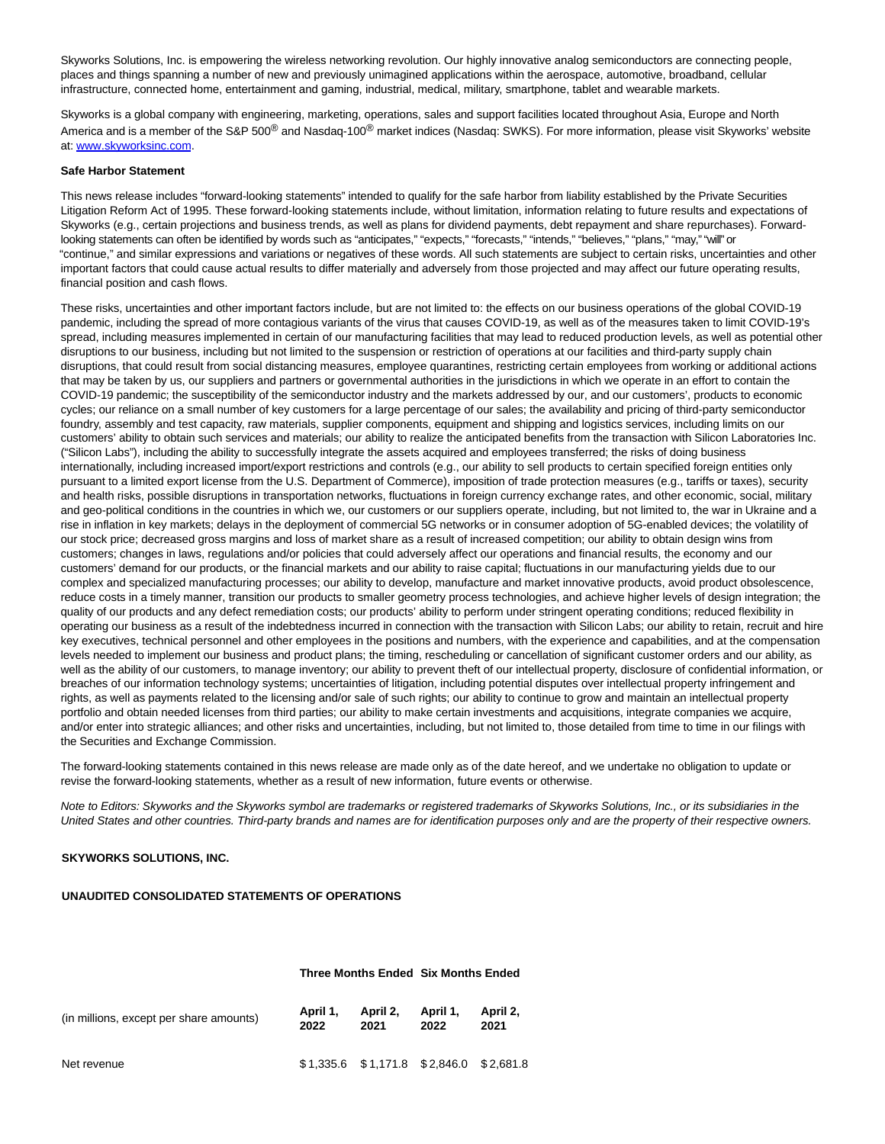Skyworks Solutions, Inc. is empowering the wireless networking revolution. Our highly innovative analog semiconductors are connecting people, places and things spanning a number of new and previously unimagined applications within the aerospace, automotive, broadband, cellular infrastructure, connected home, entertainment and gaming, industrial, medical, military, smartphone, tablet and wearable markets.

Skyworks is a global company with engineering, marketing, operations, sales and support facilities located throughout Asia, Europe and North America and is a member of the S&P 500<sup>®</sup> and Nasdaq-100<sup>®</sup> market indices (Nasdaq: SWKS). For more information, please visit Skyworks' website at: [www.skyworksinc.com.](https://cts.businesswire.com/ct/CT?id=smartlink&url=http%3A%2F%2Fwww.skyworksinc.com&esheet=52705040&newsitemid=20220502005879&lan=en-US&anchor=www.skyworksinc.com&index=1&md5=49338f00d860c548f95ca23e2e8a0e48)

#### **Safe Harbor Statement**

This news release includes "forward-looking statements" intended to qualify for the safe harbor from liability established by the Private Securities Litigation Reform Act of 1995. These forward-looking statements include, without limitation, information relating to future results and expectations of Skyworks (e.g., certain projections and business trends, as well as plans for dividend payments, debt repayment and share repurchases). Forwardlooking statements can often be identified by words such as "anticipates," "expects," "forecasts," "intends," "believes," "plans," "may," "will" or "continue," and similar expressions and variations or negatives of these words. All such statements are subject to certain risks, uncertainties and other important factors that could cause actual results to differ materially and adversely from those projected and may affect our future operating results, financial position and cash flows.

These risks, uncertainties and other important factors include, but are not limited to: the effects on our business operations of the global COVID-19 pandemic, including the spread of more contagious variants of the virus that causes COVID-19, as well as of the measures taken to limit COVID-19's spread, including measures implemented in certain of our manufacturing facilities that may lead to reduced production levels, as well as potential other disruptions to our business, including but not limited to the suspension or restriction of operations at our facilities and third-party supply chain disruptions, that could result from social distancing measures, employee quarantines, restricting certain employees from working or additional actions that may be taken by us, our suppliers and partners or governmental authorities in the jurisdictions in which we operate in an effort to contain the COVID-19 pandemic; the susceptibility of the semiconductor industry and the markets addressed by our, and our customers', products to economic cycles; our reliance on a small number of key customers for a large percentage of our sales; the availability and pricing of third-party semiconductor foundry, assembly and test capacity, raw materials, supplier components, equipment and shipping and logistics services, including limits on our customers' ability to obtain such services and materials; our ability to realize the anticipated benefits from the transaction with Silicon Laboratories Inc. ("Silicon Labs"), including the ability to successfully integrate the assets acquired and employees transferred; the risks of doing business internationally, including increased import/export restrictions and controls (e.g., our ability to sell products to certain specified foreign entities only pursuant to a limited export license from the U.S. Department of Commerce), imposition of trade protection measures (e.g., tariffs or taxes), security and health risks, possible disruptions in transportation networks, fluctuations in foreign currency exchange rates, and other economic, social, military and geo-political conditions in the countries in which we, our customers or our suppliers operate, including, but not limited to, the war in Ukraine and a rise in inflation in key markets; delays in the deployment of commercial 5G networks or in consumer adoption of 5G-enabled devices; the volatility of our stock price; decreased gross margins and loss of market share as a result of increased competition; our ability to obtain design wins from customers; changes in laws, regulations and/or policies that could adversely affect our operations and financial results, the economy and our customers' demand for our products, or the financial markets and our ability to raise capital; fluctuations in our manufacturing yields due to our complex and specialized manufacturing processes; our ability to develop, manufacture and market innovative products, avoid product obsolescence, reduce costs in a timely manner, transition our products to smaller geometry process technologies, and achieve higher levels of design integration; the quality of our products and any defect remediation costs; our products' ability to perform under stringent operating conditions; reduced flexibility in operating our business as a result of the indebtedness incurred in connection with the transaction with Silicon Labs; our ability to retain, recruit and hire key executives, technical personnel and other employees in the positions and numbers, with the experience and capabilities, and at the compensation levels needed to implement our business and product plans; the timing, rescheduling or cancellation of significant customer orders and our ability, as well as the ability of our customers, to manage inventory; our ability to prevent theft of our intellectual property, disclosure of confidential information, or breaches of our information technology systems; uncertainties of litigation, including potential disputes over intellectual property infringement and rights, as well as payments related to the licensing and/or sale of such rights; our ability to continue to grow and maintain an intellectual property portfolio and obtain needed licenses from third parties; our ability to make certain investments and acquisitions, integrate companies we acquire, and/or enter into strategic alliances; and other risks and uncertainties, including, but not limited to, those detailed from time to time in our filings with the Securities and Exchange Commission.

The forward-looking statements contained in this news release are made only as of the date hereof, and we undertake no obligation to update or revise the forward-looking statements, whether as a result of new information, future events or otherwise.

Note to Editors: Skyworks and the Skyworks symbol are trademarks or registered trademarks of Skyworks Solutions, Inc., or its subsidiaries in the United States and other countries. Third-party brands and names are for identification purposes only and are the property of their respective owners.

#### **SKYWORKS SOLUTIONS, INC.**

#### **UNAUDITED CONSOLIDATED STATEMENTS OF OPERATIONS**

#### **Three Months Ended Six Months Ended**

| (in millions, except per share amounts) | April 1. | April 2,                                    | April 1. | April 2. |
|-----------------------------------------|----------|---------------------------------------------|----------|----------|
|                                         | 2022     | 2021                                        | 2022     | 2021     |
| Net revenue                             |          | $$1,335.6$ $$1,171.8$ $$2,846.0$ $$2,681.8$ |          |          |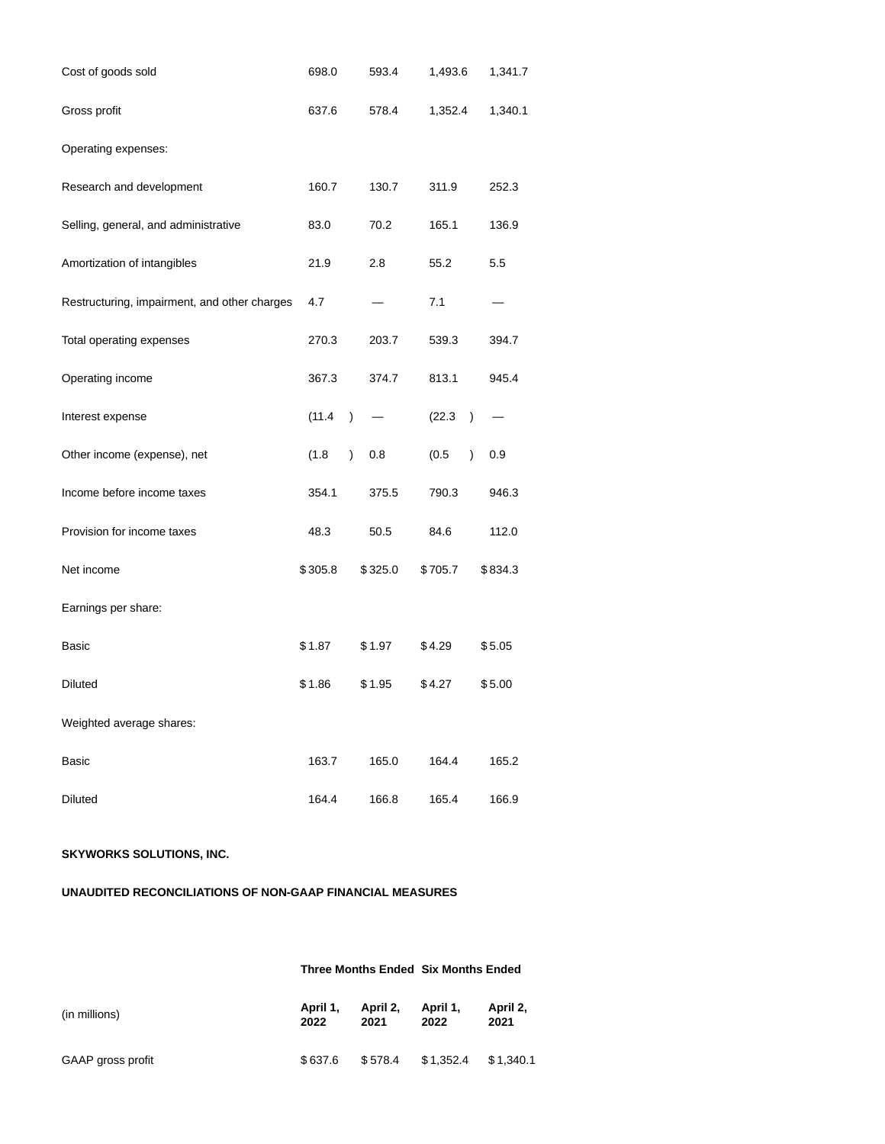| Cost of goods sold                           | 698.0   | 593.4            | 1,493.6             | 1,341.7 |
|----------------------------------------------|---------|------------------|---------------------|---------|
| Gross profit                                 | 637.6   | 578.4            | 1,352.4             | 1,340.1 |
| Operating expenses:                          |         |                  |                     |         |
| Research and development                     | 160.7   | 130.7            | 311.9               | 252.3   |
| Selling, general, and administrative         | 83.0    | 70.2             | 165.1               | 136.9   |
| Amortization of intangibles                  | 21.9    | 2.8              | 55.2                | 5.5     |
| Restructuring, impairment, and other charges | 4.7     |                  | 7.1                 |         |
| Total operating expenses                     | 270.3   | 203.7            | 539.3               | 394.7   |
| Operating income                             | 367.3   | 374.7            | 813.1               | 945.4   |
| Interest expense                             | (11.4)  | $\lambda$        | (22.3)<br>$\lambda$ |         |
| Other income (expense), net                  | (1.8)   | $\lambda$<br>0.8 | (0.5)<br>$\lambda$  | 0.9     |
| Income before income taxes                   | 354.1   | 375.5            | 790.3               | 946.3   |
| Provision for income taxes                   | 48.3    | 50.5             | 84.6                | 112.0   |
| Net income                                   | \$305.8 | \$325.0          | \$705.7             | \$834.3 |
| Earnings per share:                          |         |                  |                     |         |
| Basic                                        | \$1.87  | \$1.97           | \$4.29              | \$5.05  |
| Diluted                                      | \$1.86  | \$1.95           | \$4.27              | \$5.00  |
| Weighted average shares:                     |         |                  |                     |         |
| Basic                                        | 163.7   | 165.0            | 164.4               | 165.2   |
| <b>Diluted</b>                               | 164.4   | 166.8            | 165.4               | 166.9   |

# **SKYWORKS SOLUTIONS, INC.**

**UNAUDITED RECONCILIATIONS OF NON-GAAP FINANCIAL MEASURES**

## **Three Months Ended Six Months Ended**

| (in millions)     | April 1. | April 2, | April 1,            | April 2, |
|-------------------|----------|----------|---------------------|----------|
|                   | 2022     | 2021     | 2022                | 2021     |
| GAAP gross profit | \$637.6  | \$578.4  | \$1,352.4 \$1,340.1 |          |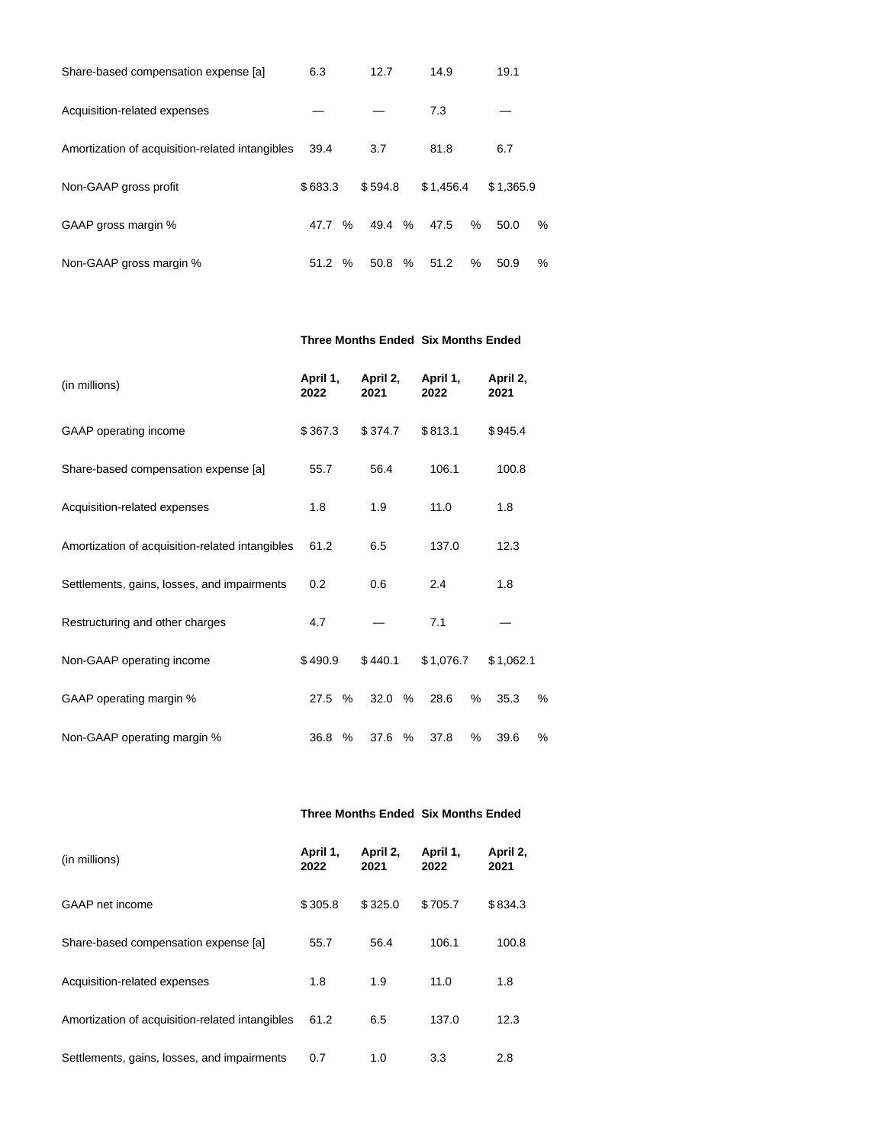| Share-based compensation expense [a]            | 6.3     |      | 12.7    |      | 14.9      |   | 19.1      |               |
|-------------------------------------------------|---------|------|---------|------|-----------|---|-----------|---------------|
| Acquisition-related expenses                    |         |      |         |      | 7.3       |   |           |               |
| Amortization of acquisition-related intangibles | 39.4    |      | 3.7     |      | 81.8      |   | 6.7       |               |
| Non-GAAP gross profit                           | \$683.3 |      | \$594.8 |      | \$1.456.4 |   | \$1,365.9 |               |
| GAAP gross margin %                             | 47.7    | $\%$ | 49.4    | $\%$ | 47.5      | % | 50.0      | $\frac{0}{0}$ |
| Non-GAAP gross margin %                         | 51.2    | $\%$ | 50.8    | %    | 51.2      | % | 50.9      | $\%$          |

## **Three Months Ended Six Months Ended**

| (in millions)                                   | April 1,<br>2022 |               | April 2,<br>2021 |      | April 1,<br>2022 |   | April 2,<br>2021 |   |
|-------------------------------------------------|------------------|---------------|------------------|------|------------------|---|------------------|---|
| GAAP operating income                           | \$367.3          |               | \$374.7          |      | \$813.1          |   | \$945.4          |   |
| Share-based compensation expense [a]            | 55.7             | 106.1<br>56.4 |                  |      | 100.8            |   |                  |   |
| Acquisition-related expenses                    | 1.8              |               | 11.0<br>1.9      |      | 1.8              |   |                  |   |
| Amortization of acquisition-related intangibles | 61.2             |               | 6.5              |      | 137.0            |   | 12.3             |   |
| Settlements, gains, losses, and impairments     | 0.2              |               | 0.6              |      | 2.4              |   | 1.8              |   |
| Restructuring and other charges                 | 4.7              |               |                  |      | 7.1              |   |                  |   |
| Non-GAAP operating income                       | \$490.9          |               | \$440.1          |      | \$1,076.7        |   | \$1,062.1        |   |
| GAAP operating margin %                         | 27.5             | %             | 32.0             | $\%$ | 28.6             | % | 35.3             | % |
| Non-GAAP operating margin %                     | 36.8             | %             | 37.6             | %    | 37.8             | % | 39.6             | % |

# **Three Months Ended Six Months Ended**

| (in millions)                                   | April 1,<br>2022 | April 2,<br>2021 | April 1,<br>2022 | April 2,<br>2021 |
|-------------------------------------------------|------------------|------------------|------------------|------------------|
| GAAP net income                                 | \$305.8          | \$325.0          | \$705.7          | \$834.3          |
| Share-based compensation expense [a]            | 55.7             | 56.4             | 106.1            | 100.8            |
| Acquisition-related expenses                    | 1.8              | 1.9              | 11.0             | 1.8              |
| Amortization of acquisition-related intangibles | 61.2             | 6.5              | 137.0            | 12.3             |
| Settlements, gains, losses, and impairments     | 0.7              | 1.0              | 3.3              | 2.8              |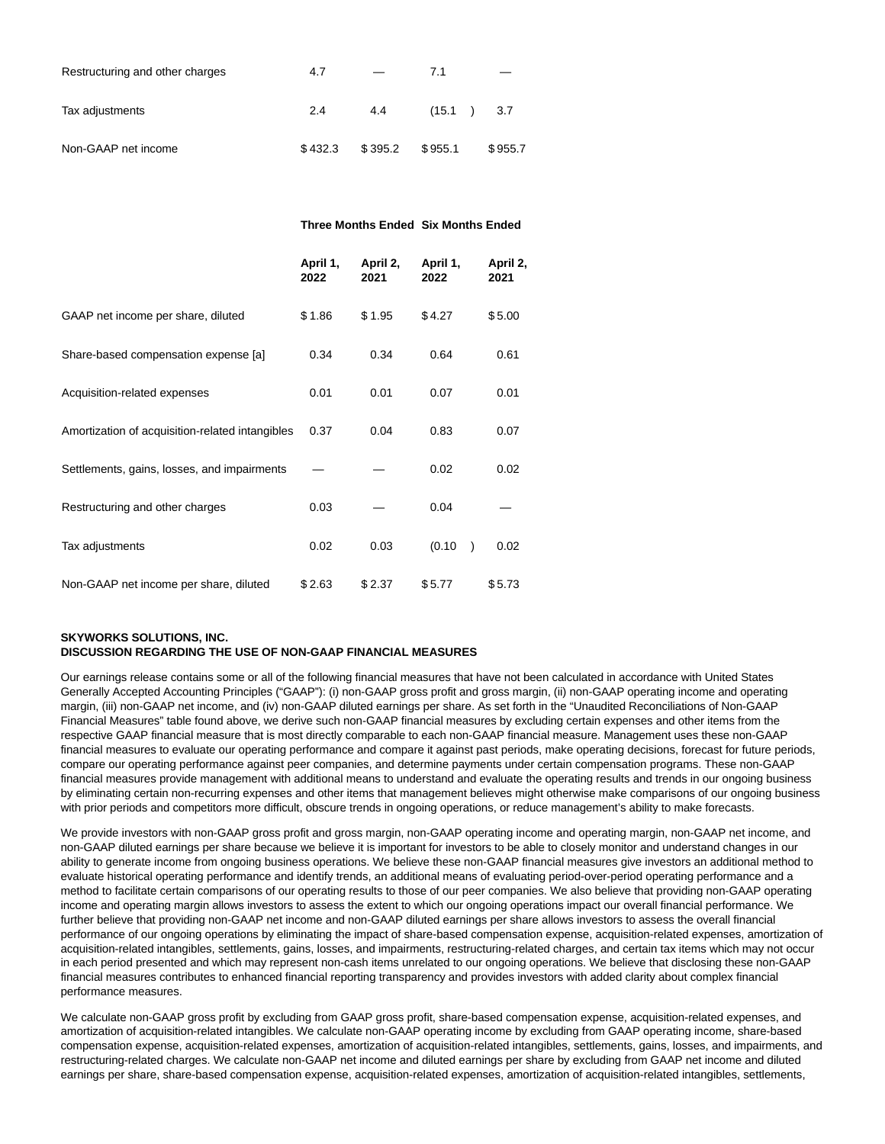| Restructuring and other charges | 4.7     |         | 71      |         |
|---------------------------------|---------|---------|---------|---------|
| Tax adjustments                 | 2.4     | 4.4     | (15.1)  | - 3.7   |
| Non-GAAP net income             | \$432.3 | \$395.2 | \$955.1 | \$955.7 |

**Three Months Ended Six Months Ended**

|                                                 | April 1,<br>2022 | April 2.<br>2021 | April 1,<br>2022    | April 2,<br>2021 |
|-------------------------------------------------|------------------|------------------|---------------------|------------------|
| GAAP net income per share, diluted              | \$1.86           | \$1.95           | \$4.27              | \$5.00           |
| Share-based compensation expense [a]            | 0.34             | 0.34             | 0.64                | 0.61             |
| Acquisition-related expenses                    | 0.01             | 0.01             | 0.07                | 0.01             |
| Amortization of acquisition-related intangibles | 0.37             | 0.04             | 0.83                | 0.07             |
| Settlements, gains, losses, and impairments     |                  |                  | 0.02                | 0.02             |
| Restructuring and other charges                 | 0.03             |                  | 0.04                |                  |
| Tax adjustments                                 | 0.02             | 0.03             | (0.10)<br>$\lambda$ | 0.02             |
| Non-GAAP net income per share, diluted          | \$2.63           | \$2.37           | \$5.77              | \$5.73           |

## **SKYWORKS SOLUTIONS, INC. DISCUSSION REGARDING THE USE OF NON-GAAP FINANCIAL MEASURES**

Our earnings release contains some or all of the following financial measures that have not been calculated in accordance with United States Generally Accepted Accounting Principles ("GAAP"): (i) non-GAAP gross profit and gross margin, (ii) non-GAAP operating income and operating margin, (iii) non-GAAP net income, and (iv) non-GAAP diluted earnings per share. As set forth in the "Unaudited Reconciliations of Non-GAAP Financial Measures" table found above, we derive such non-GAAP financial measures by excluding certain expenses and other items from the respective GAAP financial measure that is most directly comparable to each non-GAAP financial measure. Management uses these non-GAAP financial measures to evaluate our operating performance and compare it against past periods, make operating decisions, forecast for future periods, compare our operating performance against peer companies, and determine payments under certain compensation programs. These non-GAAP financial measures provide management with additional means to understand and evaluate the operating results and trends in our ongoing business by eliminating certain non-recurring expenses and other items that management believes might otherwise make comparisons of our ongoing business with prior periods and competitors more difficult, obscure trends in ongoing operations, or reduce management's ability to make forecasts.

We provide investors with non-GAAP gross profit and gross margin, non-GAAP operating income and operating margin, non-GAAP net income, and non-GAAP diluted earnings per share because we believe it is important for investors to be able to closely monitor and understand changes in our ability to generate income from ongoing business operations. We believe these non-GAAP financial measures give investors an additional method to evaluate historical operating performance and identify trends, an additional means of evaluating period-over-period operating performance and a method to facilitate certain comparisons of our operating results to those of our peer companies. We also believe that providing non-GAAP operating income and operating margin allows investors to assess the extent to which our ongoing operations impact our overall financial performance. We further believe that providing non-GAAP net income and non-GAAP diluted earnings per share allows investors to assess the overall financial performance of our ongoing operations by eliminating the impact of share-based compensation expense, acquisition-related expenses, amortization of acquisition-related intangibles, settlements, gains, losses, and impairments, restructuring-related charges, and certain tax items which may not occur in each period presented and which may represent non-cash items unrelated to our ongoing operations. We believe that disclosing these non-GAAP financial measures contributes to enhanced financial reporting transparency and provides investors with added clarity about complex financial performance measures.

We calculate non-GAAP gross profit by excluding from GAAP gross profit, share-based compensation expense, acquisition-related expenses, and amortization of acquisition-related intangibles. We calculate non-GAAP operating income by excluding from GAAP operating income, share-based compensation expense, acquisition-related expenses, amortization of acquisition-related intangibles, settlements, gains, losses, and impairments, and restructuring-related charges. We calculate non-GAAP net income and diluted earnings per share by excluding from GAAP net income and diluted earnings per share, share-based compensation expense, acquisition-related expenses, amortization of acquisition-related intangibles, settlements,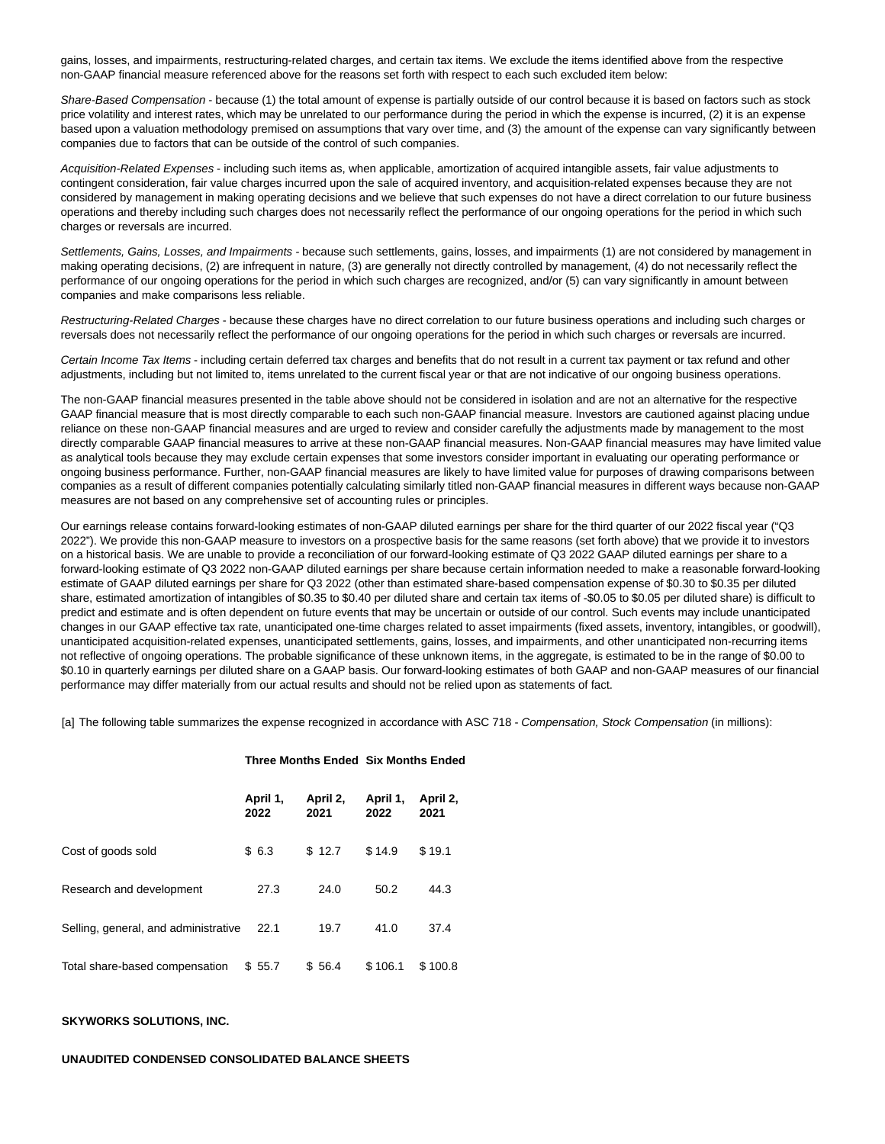gains, losses, and impairments, restructuring-related charges, and certain tax items. We exclude the items identified above from the respective non-GAAP financial measure referenced above for the reasons set forth with respect to each such excluded item below:

Share-Based Compensation - because (1) the total amount of expense is partially outside of our control because it is based on factors such as stock price volatility and interest rates, which may be unrelated to our performance during the period in which the expense is incurred, (2) it is an expense based upon a valuation methodology premised on assumptions that vary over time, and (3) the amount of the expense can vary significantly between companies due to factors that can be outside of the control of such companies.

Acquisition-Related Expenses - including such items as, when applicable, amortization of acquired intangible assets, fair value adjustments to contingent consideration, fair value charges incurred upon the sale of acquired inventory, and acquisition-related expenses because they are not considered by management in making operating decisions and we believe that such expenses do not have a direct correlation to our future business operations and thereby including such charges does not necessarily reflect the performance of our ongoing operations for the period in which such charges or reversals are incurred.

Settlements, Gains, Losses, and Impairments - because such settlements, gains, losses, and impairments (1) are not considered by management in making operating decisions, (2) are infrequent in nature, (3) are generally not directly controlled by management, (4) do not necessarily reflect the performance of our ongoing operations for the period in which such charges are recognized, and/or (5) can vary significantly in amount between companies and make comparisons less reliable.

Restructuring-Related Charges - because these charges have no direct correlation to our future business operations and including such charges or reversals does not necessarily reflect the performance of our ongoing operations for the period in which such charges or reversals are incurred.

Certain Income Tax Items - including certain deferred tax charges and benefits that do not result in a current tax payment or tax refund and other adjustments, including but not limited to, items unrelated to the current fiscal year or that are not indicative of our ongoing business operations.

The non-GAAP financial measures presented in the table above should not be considered in isolation and are not an alternative for the respective GAAP financial measure that is most directly comparable to each such non-GAAP financial measure. Investors are cautioned against placing undue reliance on these non-GAAP financial measures and are urged to review and consider carefully the adjustments made by management to the most directly comparable GAAP financial measures to arrive at these non-GAAP financial measures. Non-GAAP financial measures may have limited value as analytical tools because they may exclude certain expenses that some investors consider important in evaluating our operating performance or ongoing business performance. Further, non-GAAP financial measures are likely to have limited value for purposes of drawing comparisons between companies as a result of different companies potentially calculating similarly titled non-GAAP financial measures in different ways because non-GAAP measures are not based on any comprehensive set of accounting rules or principles.

Our earnings release contains forward-looking estimates of non-GAAP diluted earnings per share for the third quarter of our 2022 fiscal year ("Q3 2022"). We provide this non-GAAP measure to investors on a prospective basis for the same reasons (set forth above) that we provide it to investors on a historical basis. We are unable to provide a reconciliation of our forward-looking estimate of Q3 2022 GAAP diluted earnings per share to a forward-looking estimate of Q3 2022 non-GAAP diluted earnings per share because certain information needed to make a reasonable forward-looking estimate of GAAP diluted earnings per share for Q3 2022 (other than estimated share-based compensation expense of \$0.30 to \$0.35 per diluted share, estimated amortization of intangibles of \$0.35 to \$0.40 per diluted share and certain tax items of -\$0.05 to \$0.05 per diluted share) is difficult to predict and estimate and is often dependent on future events that may be uncertain or outside of our control. Such events may include unanticipated changes in our GAAP effective tax rate, unanticipated one-time charges related to asset impairments (fixed assets, inventory, intangibles, or goodwill), unanticipated acquisition-related expenses, unanticipated settlements, gains, losses, and impairments, and other unanticipated non-recurring items not reflective of ongoing operations. The probable significance of these unknown items, in the aggregate, is estimated to be in the range of \$0.00 to \$0.10 in quarterly earnings per diluted share on a GAAP basis. Our forward-looking estimates of both GAAP and non-GAAP measures of our financial performance may differ materially from our actual results and should not be relied upon as statements of fact.

[a] The following table summarizes the expense recognized in accordance with ASC 718 - Compensation, Stock Compensation (in millions):

## **Three Months Ended Six Months Ended**

|                                      | April 1,<br>2022 | April 2,<br>2021 | April 1,<br>2022 | April 2,<br>2021 |
|--------------------------------------|------------------|------------------|------------------|------------------|
| Cost of goods sold                   | \$6.3            | \$12.7           | \$14.9           | \$19.1           |
| Research and development             | 27.3             | 24.0             | 50.2             | 44.3             |
| Selling, general, and administrative | 22.1             | 19.7             | 41.0             | 37.4             |
| Total share-based compensation       | \$55.7           | \$56.4           | \$106.1          | \$100.8          |

#### **SKYWORKS SOLUTIONS, INC.**

#### **UNAUDITED CONDENSED CONSOLIDATED BALANCE SHEETS**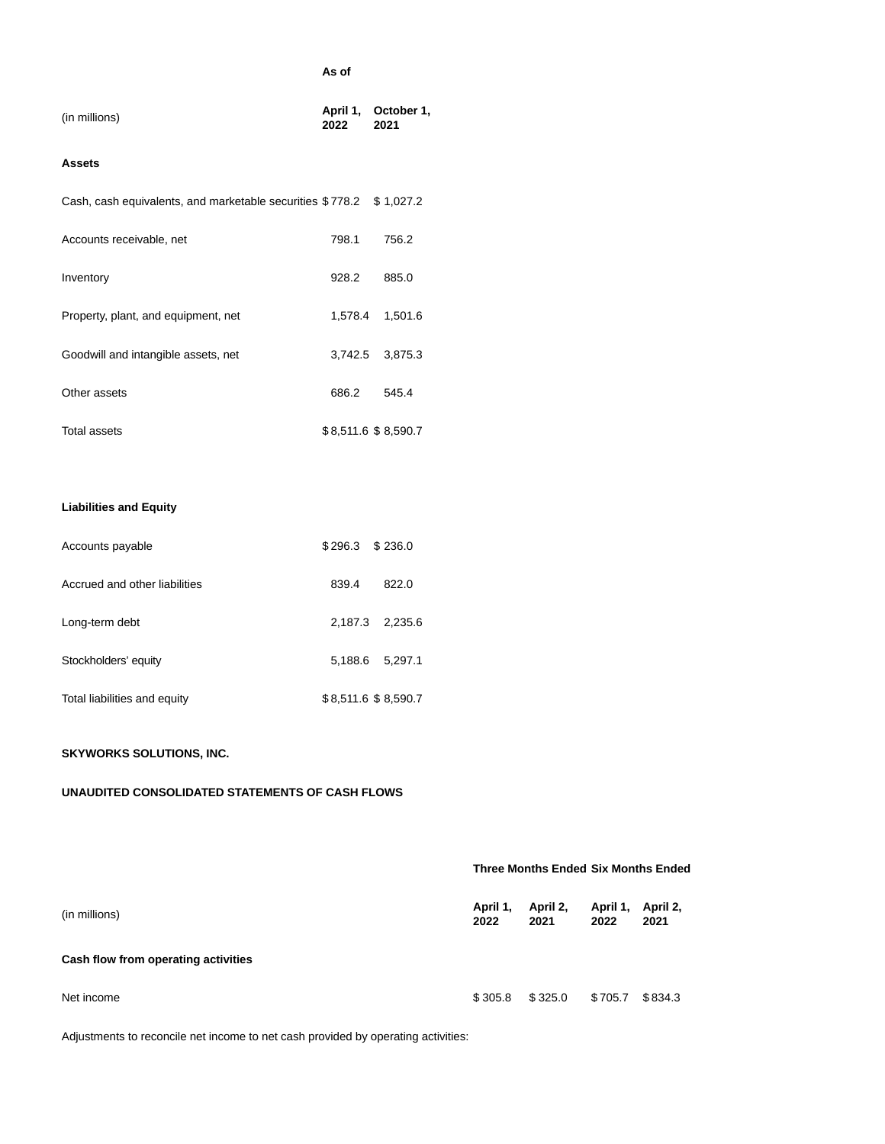# **As of**

| (in millions)                                                       | 2022    | April 1, October 1,<br>2021 |
|---------------------------------------------------------------------|---------|-----------------------------|
| <b>Assets</b>                                                       |         |                             |
| Cash, cash equivalents, and marketable securities \$778.2 \$1,027.2 |         |                             |
| Accounts receivable, net                                            | 798.1   | 756.2                       |
| Inventory                                                           | 928.2   | 885.0                       |
| Property, plant, and equipment, net                                 | 1,578.4 | 1,501.6                     |
| Goodwill and intangible assets, net                                 |         | 3,742.5 3,875.3             |
| Other assets                                                        | 686.2   | 545.4                       |
| Total assets                                                        |         | \$8,511.6 \$8,590.7         |

## **Liabilities and Equity**

| Accounts payable              | $$296.3$ $$236.0$   |                 |
|-------------------------------|---------------------|-----------------|
| Accrued and other liabilities | 839.4               | 822.0           |
| Long-term debt                |                     | 2,187.3 2,235.6 |
| Stockholders' equity          | 5,188.6 5,297.1     |                 |
| Total liabilities and equity  | \$8,511.6 \$8,590.7 |                 |

# **SKYWORKS SOLUTIONS, INC.**

# **UNAUDITED CONSOLIDATED STATEMENTS OF CASH FLOWS**

|                                     | <b>Three Months Ended Six Months Ended</b> |                  |                  |                  |  |  |
|-------------------------------------|--------------------------------------------|------------------|------------------|------------------|--|--|
| (in millions)                       | April 1,<br>2022                           | April 2,<br>2021 | April 1,<br>2022 | April 2,<br>2021 |  |  |
| Cash flow from operating activities |                                            |                  |                  |                  |  |  |
| Net income                          | \$305.8                                    | \$325.0          | \$705.7          | \$834.3          |  |  |

Adjustments to reconcile net income to net cash provided by operating activities: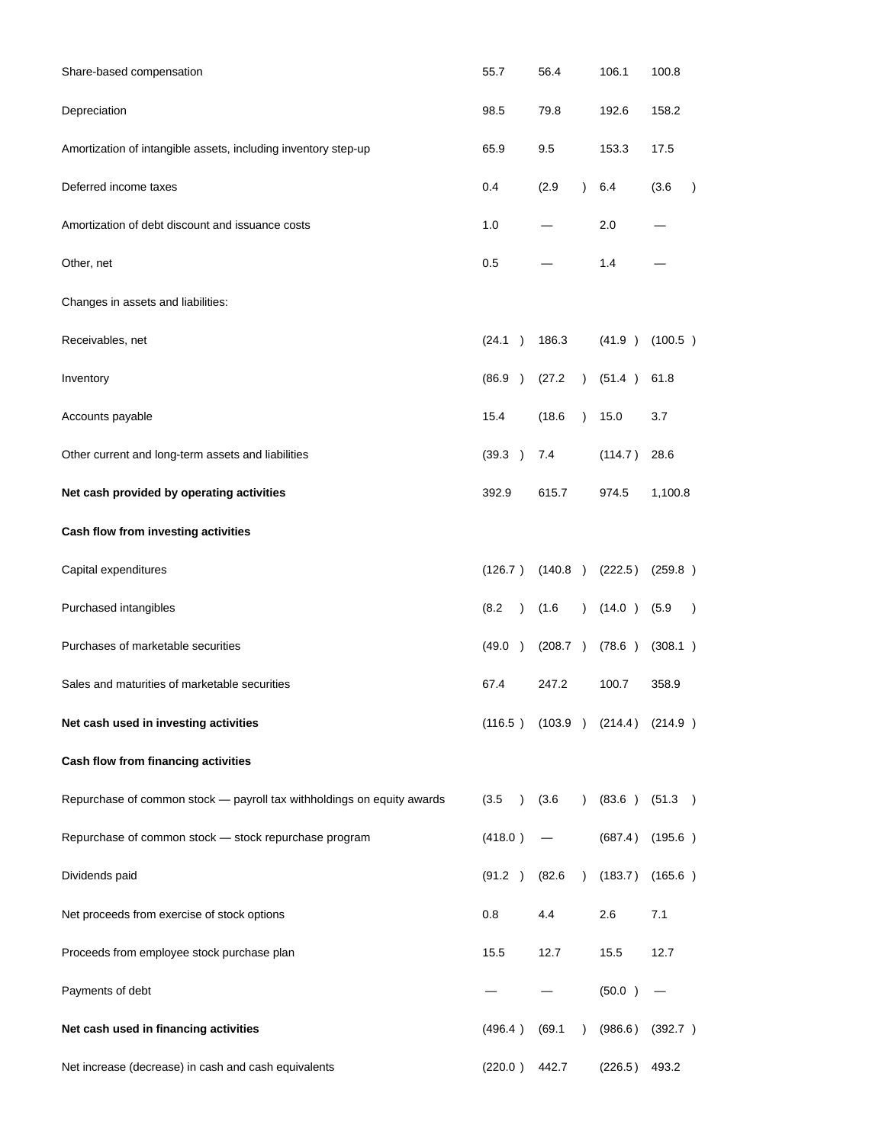| Share-based compensation                                               | 55.7                    | 56.4    |               | 106.1   | 100.8                                   |
|------------------------------------------------------------------------|-------------------------|---------|---------------|---------|-----------------------------------------|
| Depreciation                                                           | 98.5                    | 79.8    |               | 192.6   | 158.2                                   |
| Amortization of intangible assets, including inventory step-up         | 65.9                    | 9.5     |               | 153.3   | 17.5                                    |
| Deferred income taxes                                                  | 0.4                     | (2.9)   | $\lambda$     | 6.4     | (3.6)<br>$\lambda$                      |
| Amortization of debt discount and issuance costs                       | 1.0                     |         |               | 2.0     |                                         |
| Other, net                                                             | 0.5                     |         |               | 1.4     |                                         |
| Changes in assets and liabilities:                                     |                         |         |               |         |                                         |
| Receivables, net                                                       | (24.1)<br>$\rightarrow$ | 186.3   |               | (41.9)  | (100.5)                                 |
| Inventory                                                              | (86.9)                  | (27.2)  | $\lambda$     | (51.4)  | 61.8                                    |
| Accounts payable                                                       | 15.4                    | (18.6)  | $\lambda$     | 15.0    | 3.7                                     |
| Other current and long-term assets and liabilities                     | (39.3)                  | 7.4     |               | (114.7) | 28.6                                    |
| Net cash provided by operating activities                              | 392.9                   | 615.7   |               | 974.5   | 1,100.8                                 |
| Cash flow from investing activities                                    |                         |         |               |         |                                         |
| Capital expenditures                                                   | (126.7)                 | (140.8) |               | (222.5) | (259.8)                                 |
| Purchased intangibles                                                  | (8.2)<br>$\lambda$      | (1.6)   | $\lambda$     | (14.0)  | (5.9)<br>$\rightarrow$                  |
| Purchases of marketable securities                                     | (49.0<br>$\rightarrow$  | (208.7) |               | (78.6)  | (308.1)                                 |
| Sales and maturities of marketable securities                          | 67.4                    | 247.2   |               | 100.7   | 358.9                                   |
| Net cash used in investing activities                                  |                         |         |               |         | $(116.5)$ $(103.9)$ $(214.4)$ $(214.9)$ |
| Cash flow from financing activities                                    |                         |         |               |         |                                         |
| Repurchase of common stock - payroll tax withholdings on equity awards | (3.5)<br>$\lambda$      | (3.6)   | $\lambda$     |         | $(83.6)$ $(51.3)$                       |
| Repurchase of common stock - stock repurchase program                  | (418.0)                 |         |               |         | $(687.4)$ $(195.6)$                     |
| Dividends paid                                                         | (91.2)                  | (82.6)  | $\mathcal{L}$ |         | $(183.7)$ $(165.6)$                     |
| Net proceeds from exercise of stock options                            | 0.8                     | 4.4     |               | 2.6     | 7.1                                     |
| Proceeds from employee stock purchase plan                             | 15.5                    | 12.7    |               | 15.5    | 12.7                                    |
| Payments of debt                                                       |                         |         |               | (50.0)  |                                         |
| Net cash used in financing activities                                  | (496.4)                 | (69.1)  | $\lambda$     | (986.6) | (392.7)                                 |
| Net increase (decrease) in cash and cash equivalents                   | (220.0)                 | 442.7   |               | (226.5) | 493.2                                   |